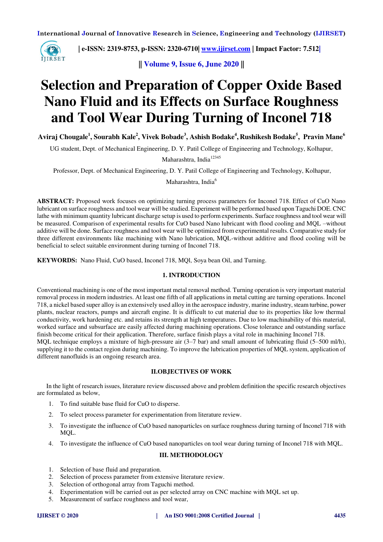

 **| e-ISSN: 2319-8753, p-ISSN: 2320-6710| [www.ijirset.com](http://www.ijirset.com/) | Impact Factor: 7.512|**

**|| Volume 9, Issue 6, June 2020 ||** 

# **Selection and Preparation of Copper Oxide Based Nano Fluid and its Effects on Surface Roughness and Tool Wear During Turning of Inconel 718**

**Aviraj Chougale<sup>1</sup> , Sourabh Kale<sup>2</sup> , Vivek Bobade<sup>3</sup> , Ashish Bodake<sup>4</sup> , Rushikesh Bodake<sup>5</sup> , Pravin Mane<sup>6</sup>**

UG student, Dept. of Mechanical Engineering, D. Y. Patil College of Engineering and Technology, Kolhapur,

Maharashtra, India<sup>12345</sup>

Professor, Dept. of Mechanical Engineering, D. Y. Patil College of Engineering and Technology, Kolhapur,

Maharashtra, India<sup>6</sup>

**ABSTRACT:** Proposed work focuses on optimizing turning process parameters for Inconel 718. Effect of CuO Nano lubricant on surface roughness and tool wear will be studied. Experiment will be performed based upon Taguchi DOE. CNC lathe with minimum quantity lubricant discharge setup is used to perform experiments. Surface roughness and tool wear will be measured. Comparison of experimental results for CuO based Nano lubricant with flood cooling and MQL –without additive will be done. Surface roughness and tool wear will be optimized from experimental results. Comparative study for three different environments like machining with Nano lubrication, MQL-without additive and flood cooling will be beneficial to select suitable environment during turning of Inconel 718.

**KEYWORDS:** Nano Fluid, CuO based, Inconel 718, MQl, Soya bean Oil, and Turning.

## **1. INTRODUCTION**

Conventional machining is one of the most important metal removal method. Turning operation is very important material removal process in modern industries. At least one fifth of all applications in metal cutting are turning operations. Inconel 718, a nickel based super alloy is an extensively used alloy in the aerospace industry, marine industry, steam turbine, power plants, nuclear reactors, pumps and aircraft engine. It is difficult to cut material due to its properties like low thermal conductivity, work hardening etc. and retains its strength at high temperatures. Due to low machinability of this material, worked surface and subsurface are easily affected during machining operations. Close tolerance and outstanding surface finish become critical for their application. Therefore, surface finish plays a vital role in machining Inconel 718. MQL technique employs a mixture of high-pressure air (3–7 bar) and small amount of lubricating fluid (5–500 ml/h), supplying it to the contact region during machining. To improve the lubrication properties of MQL system, application of different nanofluids is an ongoing research area.

## **II.OBJECTIVES OF WORK**

In the light of research issues, literature review discussed above and problem definition the specific research objectives are formulated as below,

- 1. To find suitable base fluid for CuO to disperse.
- 2. To select process parameter for experimentation from literature review.
- 3. To investigate the influence of CuO based nanoparticles on surface roughness during turning of Inconel 718 with MQL.
- 4. To investigate the influence of CuO based nanoparticles on tool wear during turning of Inconel 718 with MQL.

## **III. METHODOLOGY**

- 1. Selection of base fluid and preparation.
- 2. Selection of process parameter from extensive literature review.
- 3. Selection of orthogonal array from Taguchi method.
- 4. Experimentation will be carried out as per selected array on CNC machine with MQL set up.
- 5. Measurement of surface roughness and tool wear,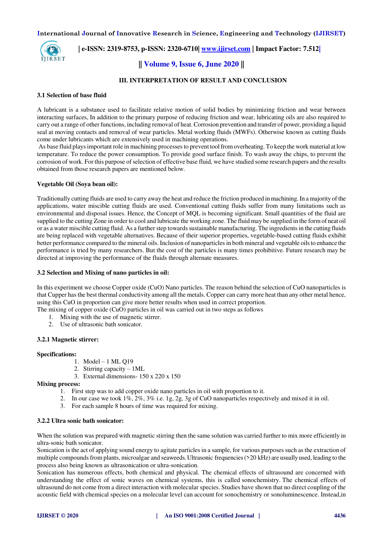

 **| e-ISSN: 2319-8753, p-ISSN: 2320-6710| [www.ijirset.com](http://www.ijirset.com/) | Impact Factor: 7.512|**

# **|| Volume 9, Issue 6, June 2020 ||**

## **III. INTERPRETATION OF RESULT AND CONCLUSION**

## **3.1 Selection of base fluid**

A lubricant is a substance used to facilitate relative motion of solid bodies by minimizing friction and wear between interacting surfaces, In addition to the primary purpose of reducing friction and wear, lubricating oils are also required to carry out a range of other functions, including removal of heat. Corrosion prevention and transfer of power, providing a liquid seal at moving contacts and removal of wear particles. Metal working fluids (MWFs). Otherwise known as cutting fluids come under lubricants which are extensively used in machining operations.

 As base fluid plays important role in machining processes to prevent tool from overheating. To keep the work material at low temperature. To reduce the power consumption. To provide good surface finish. To wash away the chips, to prevent the corrosion of work. For this purpose of selection of effective base fluid, we have studied some research papers and the results obtained from those research papers are mentioned below.

## **Vegetable Oil (Soya bean oil):**

Traditionally cutting fluids are used to carry away the heat and reduce the friction produced in machining. In a majority of the applications, water miscible cutting fluids are used. Conventional cutting fluids suffer from many limitations such as environmental and disposal issues. Hence, the Concept of MQL is becoming significant. Small quantities of the fluid are supplied to the cutting Zone in order to cool and lubricate the working zone. The fluid may be supplied in the form of neat oil or as a water miscible cutting fluid. As a further step towards sustainable manufacturing. The ingredients in the cutting fluids are being replaced with vegetable alternatives. Because of their superior properties, vegetable-based cutting fluids exhibit better performance compared to the mineral oils. Inclusion of nanoparticles in both mineral and vegetable oils to enhance the performance is tried by many researchers. But the cost of the particles is many times prohibitive. Future research may be directed at improving the performance of the fluids through alternate measures.

## **3.2 Selection and Mixing of nano particles in oil:**

In this experiment we choose Copper oxide (CuO) Nano particles. The reason behind the selection of CuO nanoparticles is that Cupper has the best thermal conductivity among all the metals. Copper can carry more heat than any other metal hence, using this CuO in proportion can give more better results when used in correct proportion.

The mixing of copper oxide (CuO) particles in oil was carried out in two steps as follows

- 1. Mixing with the use of magnetic stirrer.
- 2. Use of ultrasonic bath sonicator.

## **3.2.1 Magnetic stirrer:**

## **Specifications:**

- 1. Model 1 ML Q19
- 2. Stirring capacity 1ML
- 3. External dimensions- 150 x 220 x 150

## **Mixing process:**

- 1. First step was to add copper oxide nano particles in oil with proportion to it.
- 2. In our case we took 1%, 2%, 3% i.e. 1g, 2g, 3g of CuO nanoparticles respectively and mixed it in oil.
- 3. For each sample 8 hours of time was required for mixing.

## **3.2.2 Ultra sonic bath sonicator:**

When the solution was prepared with magnetic stirring then the same solution was carried further to mix more efficiently in ultra-sonic bath sonicator.

Sonication is the act of applying sound energy to agitate particles in a sample, for various purposes such as the extraction of multiple compounds from plants, microalgae and seaweeds. Ultrasonic frequencies (>20 kHz) are usually used, leading to the process also being known as ultrasonication or ultra-sonication.

Sonication has numerous effects, both chemical and physical. The chemical effects of ultrasound are concerned with understanding the effect of sonic waves on chemical systems, this is called [sonochemistry.](https://en.wikipedia.org/wiki/Sonochemistry) The chemical effects of ultrasound do not come from a direct interaction with molecular species. Studies have shown that no direct coupling of the acoustic field with chemical species on a molecular level can account for sonochemistry or [sonoluminescence.](https://en.wikipedia.org/wiki/Sonoluminescence) Instead,in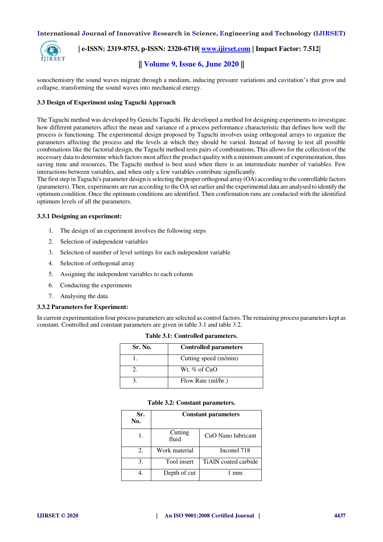

## **| e-ISSN: 2319-8753, p-ISSN: 2320-6710| [www.ijirset.com](http://www.ijirset.com/) | Impact Factor: 7.512|**

# **|| Volume 9, Issue 6, June 2020 ||**

sonochemistry the sound waves migrate through a medium, inducing pressure variations and cavitation's that grow and collapse, transforming the sound waves into mechanical energy.

## **3.3 Design of Experiment using Taguchi Approach**

The Taguchi method was developed by Genichi Taguchi. He developed a method for designing experiments to investigate how different parameters affect the mean and variance of a process performance characteristic that defines how well the process is functioning. The experimental design proposed by Taguchi involves using orthogonal arrays to organize the parameters affecting the process and the levels at which they should be varied. Instead of having lo test all possible combinations like the factorial design, the Taguchi method tests pairs of combinations, This allows for the collection of the necessary data to determine which factors most affect the product quality with a minimum amount of experimentation, thus saving time and resources, The Taguchi method is best used when there is an intermediate number of variables. Few interactions between variables, and when only a few variables contribute significantly.

The first step in Taguchi's parameter design is selecting the proper orthogonal array (OA) according to the controllable factors (parameters). Then, experiments are run according to the OA set earlier and the experimental data are analysed to identify the optimum condition. Once the optimum conditions are identified. Then confirmation runs are conducted with the identified optimum levels of all the parameters.

## **3.3.1 Designing an experiment:**

- 1. The design of an experiment involves the following steps
- 2. Selection of independent variables
- 3. Selection of number of level settings for each independent variable
- 4. Selection of orthogonal array
- 5. Assigning the independent variables to each column
- 6. Conducting the experiments
- 7. Analysing the data

## **3.3.2 Parameters for Experiment:**

In current experimentation four process parameters are selected as control factors. The remaining process parameters kept as constant. Controlled and constant parameters are given in table 3.1 and table 3.2.

| Sr. No. | <b>Controlled parameters</b> |
|---------|------------------------------|
|         | Cutting speed (m/min)        |
|         | Wt. $\%$ of CuO              |
|         | Flow Rate (ml/hr.)           |

## **Table 3.1: Controlled parameters.**

## **Table 3.2: Constant parameters.**

| Sr.<br>No. | <b>Constant parameters</b> |                      |  |  |
|------------|----------------------------|----------------------|--|--|
| 1.         | Cutting<br>fluid           | CuO Nano lubricant   |  |  |
| 2.         | Work material              | Inconel 718          |  |  |
| 3.         | Tool insert                | TiAIN coated carbide |  |  |
|            | Depth of cut               | mm                   |  |  |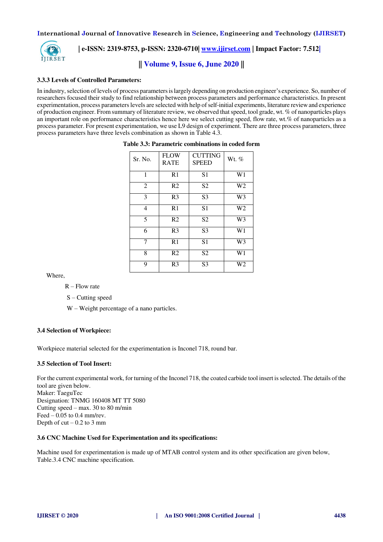

 **| e-ISSN: 2319-8753, p-ISSN: 2320-6710| [www.ijirset.com](http://www.ijirset.com/) | Impact Factor: 7.512|**

**|| Volume 9, Issue 6, June 2020 ||** 

## **3.3.3 Levels of Controlled Parameters:**

In industry, selection of levels of process parameters is largely depending on production engineer's experience. So, number of researchers focused their study to find relationship between process parameters and performance characteristics. In present experimentation, process parameters levels are selected with help of self-initial experiments, literature review and experience of production engineer. From summary of literature review, we observed that speed, tool grade, wt. % of nanoparticles plays an important role on performance characteristics hence here we select cutting speed, flow rate, wt.% of nanoparticles as a process parameter. For present experimentation, we use L9 design of experiment. There are three process parameters, three process parameters have three levels combination as shown in Table 4.3.

| Sr. No. | <b>FLOW</b><br><b>RATE</b> | <b>CUTTING</b><br><b>SPEED</b> | Wt. %          |
|---------|----------------------------|--------------------------------|----------------|
| 1       | R1                         | S <sub>1</sub>                 | W1             |
| 2       | R <sub>2</sub>             | S <sub>2</sub>                 | W <sub>2</sub> |
| 3       | R <sub>3</sub>             | S3                             | W <sub>3</sub> |
| 4       | R <sub>1</sub>             | S <sub>1</sub>                 | W <sub>2</sub> |
| 5       | R <sub>2</sub>             | S2                             | W <sub>3</sub> |
| 6       | R <sub>3</sub>             | S <sub>3</sub>                 | W1             |
| 7       | R1                         | S1                             | W <sub>3</sub> |
| 8       | R <sub>2</sub>             | S <sub>2</sub>                 | W1             |
| 9       | R <sub>3</sub>             | S3                             | W <sub>2</sub> |

| Table 3.3: Parametric combinations in coded form |  |
|--------------------------------------------------|--|
|--------------------------------------------------|--|

Where,

- $R$  Flow rate
- S Cutting speed
- W Weight percentage of a nano particles.

## **3.4 Selection of Workpiece:**

Workpiece material selected for the experimentation is Inconel 718, round bar.

## **3.5 Selection of Tool Insert:**

For the current experimental work, for turning of the Inconel 718, the coated carbide tool insert is selected. The details of the tool are given below. Maker: TaeguTec Designation: TNMG 160408 MT TT 5080 Cutting speed – max. 30 to 80 m/min Feed  $-0.05$  to 0.4 mm/rev. Depth of  $cut - 0.2$  to 3 mm

## **3.6 CNC Machine Used for Experimentation and its specifications:**

Machine used for experimentation is made up of MTAB control system and its other specification are given below, Table.3.4 CNC machine specification.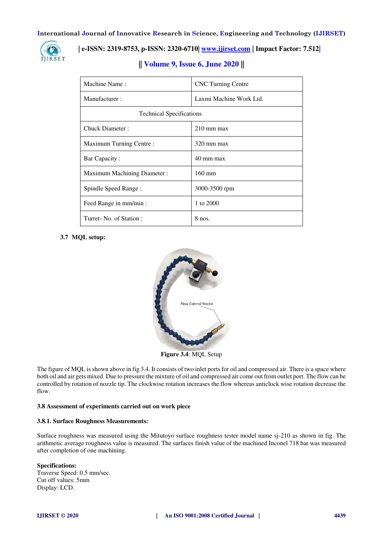

# **| e-ISSN: 2319-8753, p-ISSN: 2320-6710| [www.ijirset.com](http://www.ijirset.com/) | Impact Factor: 7.512|**

| Machine Name:                   | <b>CNC</b> Turning Centre |
|---------------------------------|---------------------------|
| Manufacturer:                   | Laxmi Machine Work Ltd.   |
| <b>Technical Specifications</b> |                           |
| Chuck Diameter:                 | $210 \text{ mm}$ max      |
| Maximum Turning Centre:         | $320 \text{ mm}$ max      |
| Bar Capacity:                   | 40 mm max                 |
| Maximum Machining Diameter :    | $160 \text{ mm}$          |
| Spindle Speed Range:            | 3000-3500 rpm             |
| Feed Range in mm/min :          | 1 to 2000                 |
| Turret- No. of Station:         | $8$ nos.                  |

# **|| Volume 9, Issue 6, June 2020 ||**

## **3.7 MQL setup:**



**Figure 3.4**: MQL Setup

The figure of MQL is shown above in fig 3.4. It consists of two inlet ports for oil and compressed air. There is a space where both oil and air gets mixed. Due to pressure the mixture of oil and compressed air come out from outlet port. The flow can be controlled by rotation of nozzle tip. The clockwise rotation increases the flow whereas anticlock wise rotation decrease the flow.

## **3.8 Assessment of experiments carried out on work piece**

## **3.8.1. Surface Roughness Measurements:**

Surface roughness was measured using the Mitutoyo surface roughness tester model name sj-210 as shown in fig. The arithmetic average roughness value is measured. The surfaces finish value of the machined Inconel 718 bar was measured after completion of one machining.

## **Specifications:**

Traverse Speed: 0.5 mm/sec. Cut off values: 5mm Display: LCD.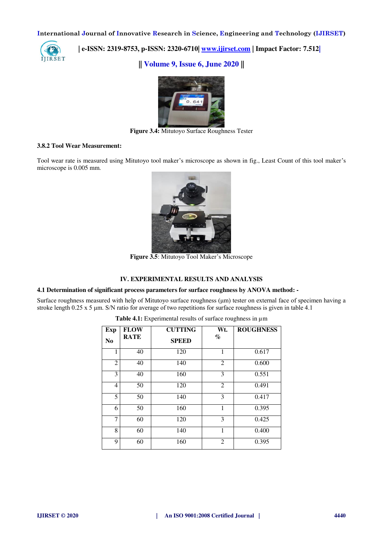

 **| e-ISSN: 2319-8753, p-ISSN: 2320-6710| [www.ijirset.com](http://www.ijirset.com/) | Impact Factor: 7.512|**

**|| Volume 9, Issue 6, June 2020 ||** 



**Figure 3.4:** Mitutoyo Surface Roughness Tester

## **3.8.2 Tool Wear Measurement:**

Tool wear rate is measured using Mitutoyo tool maker's microscope as shown in fig., Least Count of this tool maker's microscope is 0.005 mm.



**Figure 3.5**: Mitutoyo Tool Maker's Microscope

## **IV. EXPERIMENTAL RESULTS AND ANALYSIS**

# **4.1 Determination of significant process parameters for surface roughness by ANOVA method: -**

Surface roughness measured with help of Mitutoyo surface roughness (μm) tester on external face of specimen having a stroke length 0.25 x 5 μm. S/N ratio for average of two repetitions for surface roughness is given in table 4.1

| <b>Exp</b><br>N <sub>0</sub> | <b>FLOW</b><br><b>RATE</b> | <b>CUTTING</b><br><b>SPEED</b> | Wt.<br>$\%$    | <b>ROUGHNESS</b> |
|------------------------------|----------------------------|--------------------------------|----------------|------------------|
| 1                            | 40                         | 120                            | 1              | 0.617            |
| $\overline{2}$               | 40                         | 140                            | $\overline{2}$ | 0.600            |
| 3                            | 40                         | 160                            | 3              | 0.551            |
| $\overline{4}$               | 50                         | 120                            | $\overline{2}$ | 0.491            |
| 5                            | 50                         | 140                            | 3              | 0.417            |
| 6                            | 50                         | 160                            | 1              | 0.395            |
| 7                            | 60                         | 120                            | 3              | 0.425            |
| 8                            | 60                         | 140                            | 1              | 0.400            |
| 9                            | 60                         | 160                            | $\overline{2}$ | 0.395            |

Table 4.1: Experimental results of surface roughness in  $\mu$ m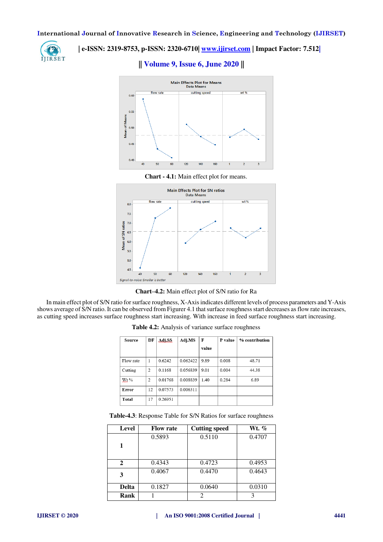

# **| e-ISSN: 2319-8753, p-ISSN: 2320-6710| www.ijirset.com | Impact Factor: 7.512|**<br>**IJIRSET**

## **|| Volume 9, Issue 6, June 2020 ||**









In main effect plot of S/N ratio for surface roughness, X-Axis indicates different levels of process parameters and Y-Axis shows average of S/N ratio. It can be observed from Figurer 4.1 that surface roughness start decreases as flow rate increases, as cutting speed increases surface roughness start increasing. With increase in feed surface roughness start increasing.

| Source    | DF             | Adi SS. | Adj.MS   | F     | P value | % contribution |
|-----------|----------------|---------|----------|-------|---------|----------------|
|           |                |         |          | value |         |                |
| Flow rate | 1              | 0.6242  | 0.062422 | 9.89  | 0.008   | 48.71          |
| Cutting   | $\overline{2}$ | 0.1168  | 0.056839 | 9.01  | 0.004   | 44.38          |
| $Wt$ %    | $\overline{c}$ | 0.01768 | 0.008839 | 1.40  | 0.284   | 6.89           |
| Error     | 12             | 0.07573 | 0.006311 |       |         |                |
| Total     | 17             | 0.26951 |          |       |         |                |

**Table 4.2:** Analysis of variance surface roughness

| Table-4.3: Response Table for S/N Ratios for surface roughness |  |  |  |
|----------------------------------------------------------------|--|--|--|
|----------------------------------------------------------------|--|--|--|

| Level        | <b>Flow rate</b> | <b>Cutting speed</b> | Wt. %  |
|--------------|------------------|----------------------|--------|
|              | 0.5893           | 0.5110               | 0.4707 |
| 1            |                  |                      |        |
| $\mathbf{2}$ | 0.4343           | 0.4723               | 0.4953 |
| 3            | 0.4067           | 0.4470               | 0.4643 |
| <b>Delta</b> | 0.1827           | 0.0640               | 0.0310 |
| Rank         |                  | $\mathfrak{D}$       |        |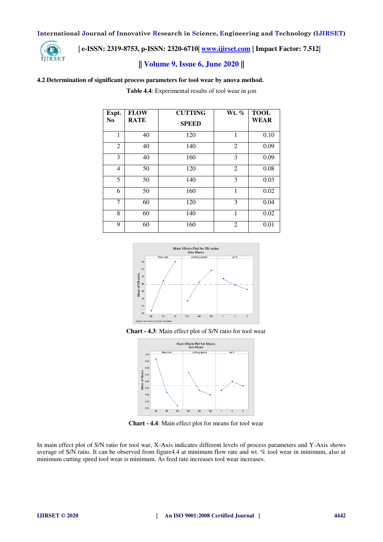

# **| e-ISSN: 2319-8753, p-ISSN: 2320-6710| [www.ijirset.com](http://www.ijirset.com/) | Impact Factor: 7.512|**

# **|| Volume 9, Issue 6, June 2020 ||**

## **4.2 Determination of significant process parameters for tool wear by anova method.**

Table 4.4: Experimental results of tool wear in  $\mu$ m

| Expt.<br>N <sub>0</sub> | <b>FLOW</b><br><b>RATE</b> | <b>CUTTING</b><br><b>SPEED</b> | Wt. $%$        | <b>TOOL</b><br><b>WEAR</b> |
|-------------------------|----------------------------|--------------------------------|----------------|----------------------------|
| 1                       | 40                         | 120                            | 1              | 0.10                       |
| $\overline{2}$          | 40                         | 140                            | $\overline{2}$ | 0.09                       |
| 3                       | 40                         | 160                            | 3              | 0.09                       |
| $\overline{4}$          | 50                         | 120                            | $\overline{2}$ | 0.08                       |
| 5                       | 50                         | 140                            | 3              | 0.03                       |
| 6                       | 50                         | 160                            | 1              | 0.02                       |
| 7                       | 60                         | 120                            | 3              | 0.04                       |
| 8                       | 60                         | 140                            | 1              | 0.02                       |
| 9                       | 60                         | 160                            | $\overline{2}$ | 0.01                       |







**Chart - 4.4**: Main effect plot for means for tool wear

In main effect plot of S/N ratio for tool war, X-Axis indicates different levels of process parameters and Y-Axis shows average of S/N ratio. It can be observed from figure4.4 at minimum flow rate and wt. % tool wear in minimum, also at minimum cutting speed tool wear is minimum. As feed rate increases tool wear increases.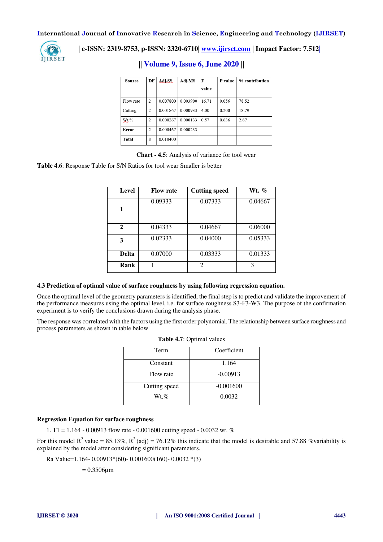

# **| e-ISSN: 2319-8753, p-ISSN: 2320-6710| [www.ijirset.com](http://www.ijirset.com/) | Impact Factor: 7.512|**

| Source    | DF             | Adi.SS.  | Adj.MS   | F<br>value | P value | % contribution |
|-----------|----------------|----------|----------|------------|---------|----------------|
|           |                |          |          |            |         |                |
| Flow rate | $\overline{2}$ | 0.007800 | 0.003900 | 16.71      | 0.056   | 78.52          |
| Cutting   | 2              | 0.001867 | 0.000933 | 4.00       | 0.200   | 18.79          |
| $Wt$ %    | 2              | 0.000267 | 0.000133 | 0.57       | 0.636   | 2.67           |
| Error     | $\overline{2}$ | 0.000467 | 0.000233 |            |         |                |
| Total     | 8              | 0.010400 |          |            |         |                |

## **|| Volume 9, Issue 6, June 2020 ||**

**Chart - 4.5**: Analysis of variance for tool wear

**Table 4.6**: Response Table for S/N Ratios for tool wear Smaller is better

| Level        | <b>Flow rate</b> | <b>Cutting speed</b> | Wt. %   |
|--------------|------------------|----------------------|---------|
| 1            | 0.09333          | 0.07333              | 0.04667 |
| $\mathbf{2}$ | 0.04333          | 0.04667              | 0.06000 |
| 3            | 0.02333          | 0.04000              | 0.05333 |
| <b>Delta</b> | 0.07000          | 0.03333              | 0.01333 |
| Rank         |                  | 2                    | 3       |

## **4.3 Prediction of optimal value of surface roughness by using following regression equation.**

Once the optimal level of the geometry parameters is identified, the final step is to predict and validate the improvement of the performance measures using the optimal level, i.e. for surface roughness S3-F3-W3. The purpose of the confirmation experiment is to verify the conclusions drawn during the analysis phase.

The response was correlated with the factors using the first order polynomial. The relationship between surface roughness and process parameters as shown in table below

**Table 4.7**: Optimal values

| Term          | Coefficient |
|---------------|-------------|
| Constant      | 1.164       |
| Flow rate     | $-0.00913$  |
| Cutting speed | $-0.001600$ |
| $Wt.\%$       | 0.0032      |

## **Regression Equation for surface roughness**

1. T1 = 1.164 - 0.00913 flow rate - 0.001600 cutting speed - 0.0032 wt. %

For this model  $R^2$  value = 85.13%,  $R^2$  (adj) = 76.12% this indicate that the model is desirable and 57.88 % variability is explained by the model after considering significant parameters.

Ra Value=1.164- 0.00913\*(60)- 0.001600(160)- 0.0032 \*(3)

 $= 0.3506 \mu m$